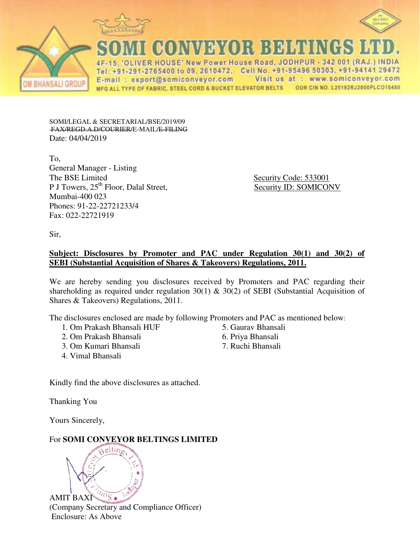

E-mail: export@somiconveyor.com

MFG ALL TYPE OF FABRIC, STEEL CORD & BUCKET ELEVATOR BELTS



SOMI/LEGAL & SECRETARIAL/BSE/2019/09 FAX/REGD.A.D/COURIER/E-MAIL/E-FILING Date: 04/04/2019

To, General Manager - Listing P J Towers, 25<sup>th</sup> Floor, Dalal Street, Security ID: SOMICONV Mumbai-400 023 Phones: 91-22-22721233/4 Fax: 022-22721919

Security Code: 533001

Visit us at : www.somiconveyor.com

OUR CIN NO. L25192RJ2000PLCO16480

Sir,

**BHANSALI GROU** 

# **Subject: Disclosures by Promoter and PAC under Regulation 30(1) and 30(2) of SEBI (Substantial Acquisition of Shares & Takeovers) Regulations, 2011.**

We are hereby sending you disclosures received by Promoters and PAC regarding their shareholding as required under regulation 30(1)  $\&$  30(2) of SEBI (Substantial Acquisition of Shares & Takeovers) Regulations, 2011.

The disclosures enclosed are made by following Promoters and PAC as mentioned below:

- 1. Om Prakash Bhansali HUF
- 2. Om Prakash Bhansali
- 3. Om Kumari Bhansali
- 4. Vimal Bhansali

5. Gaurav Bhansali

4F-15, 'OLIVER HOUSE' New Power House Road, JODHPUR - 342 001 (RAJ.) INDIA Tel: +91-291-2765400 to 09, 2610472, Cell No. +91-95496 50303, +91-94141 29472

- 6. Priya Bhansali
- 7. Ruchi Bhansali

Kindly find the above disclosures as attached.

Thanking You

Yours Sincerely,

For **SOMI CONVEYOR BELTINGS LIMITED**

aeltin<sub>o</sub>  $\sqrt[10]{s}$ AMIT BAXI

(Company Secretary and Compliance Officer) Enclosure: As Above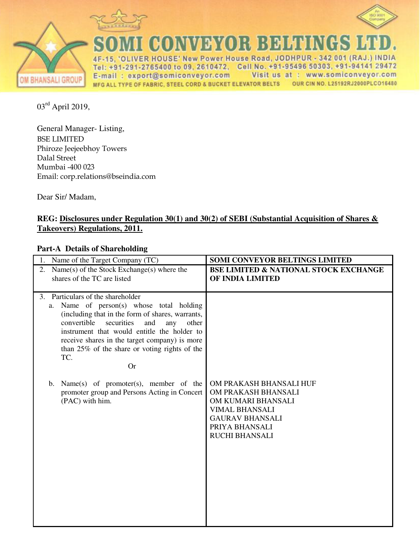



**BHANSALI GROUP** 

**CONVEYOR BEHTING** LIVER HOUSE' New Power House Road, JODHPUR - 342 001 (RAJ.) INDIA 4F-15. Tel: +91-291-2765400 to 09, 2610472, Cell No. +91-95496 50303, +91-94141 29472 E-mail: export@somiconveyor.com Visit us at : www.somiconveyor.com MFG ALL TYPE OF FABRIC, STEEL CORD & BUCKET ELEVATOR BELTS OUR CIN NO. L25192RJ2000PLCO16480

03rd April 2019,

General Manager- Listing, BSE LIMITED Phiroze Jeejeebhoy Towers Dalal Street Mumbai -400 023 Email: corp.relations@bseindia.com

Dear Sir/ Madam,

# **REG: Disclosures under Regulation 30(1) and 30(2) of SEBI (Substantial Acquisition of Shares & Takeovers) Regulations, 2011.**

# **Part-A Details of Shareholding**

| Name of the Target Company (TC)                                                                                                                                                                                                                                                                                                                                                                                                                                                        | <b>SOMI CONVEYOR BELTINGS LIMITED</b>                                                                                                                              |
|----------------------------------------------------------------------------------------------------------------------------------------------------------------------------------------------------------------------------------------------------------------------------------------------------------------------------------------------------------------------------------------------------------------------------------------------------------------------------------------|--------------------------------------------------------------------------------------------------------------------------------------------------------------------|
| Name(s) of the Stock Exchange(s) where the<br>2.<br>shares of the TC are listed                                                                                                                                                                                                                                                                                                                                                                                                        | <b>BSE LIMITED &amp; NATIONAL STOCK EXCHANGE</b><br>OF INDIA LIMITED                                                                                               |
| Particulars of the shareholder<br>3.<br>Name of person(s) whose total holding<br>a.<br>(including that in the form of shares, warrants,<br>convertible<br>securities<br>and<br>other<br>any<br>instrument that would entitle the holder to<br>receive shares in the target company) is more<br>than 25% of the share or voting rights of the<br>TC.<br><b>Or</b><br>b. Name $(s)$ of promoter $(s)$ , member of the<br>promoter group and Persons Acting in Concert<br>(PAC) with him. | OM PRAKASH BHANSALI HUF<br>OM PRAKASH BHANSALI<br>OM KUMARI BHANSALI<br><b>VIMAL BHANSALI</b><br><b>GAURAV BHANSALI</b><br>PRIYA BHANSALI<br><b>RUCHI BHANSALI</b> |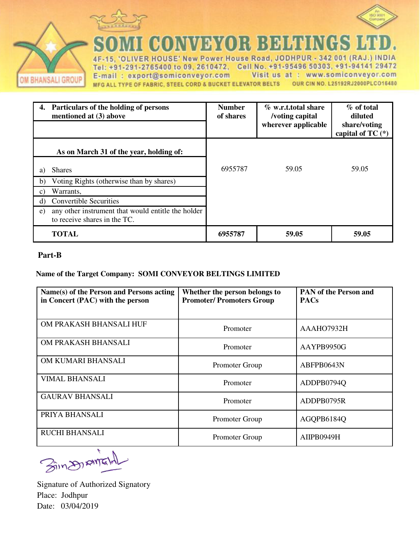



CONVEYOR BELT ÷

IVER HOUSE' New Power House Road, JODHPUR - 342 001 (RAJ.) INDIA 4F-15. Tel: +91-291-2765400 to 09, 2610472, Cell No. +91-95496 50303, +91-94141 29472 E-mail: export@somiconveyor.com Visit us at : www.somiconveyor.com MFG ALL TYPE OF FABRIC, STEEL CORD & BUCKET ELEVATOR BELTS OUR CIN NO. L25192RJ2000PLCO16480

|                 | Particulars of the holding of persons<br>mentioned at (3) above                    | <b>Number</b><br>of shares | % w.r.t.total share<br>/voting capital<br>wherever applicable | % of total<br>diluted<br>share/voting<br>capital of TC $(*)$ |
|-----------------|------------------------------------------------------------------------------------|----------------------------|---------------------------------------------------------------|--------------------------------------------------------------|
|                 | As on March 31 of the year, holding of:                                            |                            |                                                               |                                                              |
| a)              | <b>Shares</b>                                                                      | 6955787                    | 59.05                                                         | 59.05                                                        |
| b)              | Voting Rights (otherwise than by shares)                                           |                            |                                                               |                                                              |
| $\mathcal{C}$ ) | Warrants,                                                                          |                            |                                                               |                                                              |
| $\rm d$         | <b>Convertible Securities</b>                                                      |                            |                                                               |                                                              |
| e)              | any other instrument that would entitle the holder<br>to receive shares in the TC. |                            |                                                               |                                                              |
|                 | <b>TOTAL</b>                                                                       | 6955787                    | 59.05                                                         | 59.05                                                        |

#### **Part-B**

**M BHANSALI GROUP** 

#### **Name of the Target Company: SOMI CONVEYOR BELTINGS LIMITED**

| Name(s) of the Person and Persons acting<br>in Concert (PAC) with the person | Whether the person belongs to<br><b>Promoter/Promoters Group</b> | <b>PAN</b> of the Person and<br><b>PACs</b> |
|------------------------------------------------------------------------------|------------------------------------------------------------------|---------------------------------------------|
| OM PRAKASH BHANSALI HUF                                                      | Promoter                                                         | AAAHO7932H                                  |
| OM PRAKASH BHANSALI                                                          | Promoter                                                         | AAYPB9950G                                  |
| OM KUMARI BHANSALI                                                           | Promoter Group                                                   | ABFPB0643N                                  |
| <b>VIMAL BHANSALI</b>                                                        | Promoter                                                         | ADDPB0794Q                                  |
| <b>GAURAV BHANSALI</b>                                                       | Promoter                                                         | ADDPB0795R                                  |
| PRIYA BHANSALI                                                               | Promoter Group                                                   | AGQPB6184Q                                  |
| <b>RUCHI BHANSALI</b>                                                        | Promoter Group                                                   | AIIPB0949H                                  |

Bings AME

Signature of Authorized Signatory Place: Jodhpur Date: 03/04/2019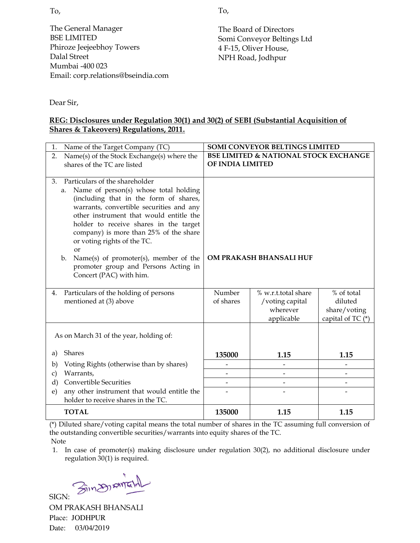The General Manager BSE LIMITED Phiroze Jeejeebhoy Towers Dalal Street Mumbai -400 023 Email: corp.relations@bseindia.com The Board of Directors Somi Conveyor Beltings Ltd 4 F-15, Oliver House, NPH Road, Jodhpur

Dear Sir,

## **REG: Disclosures under Regulation 30(1) and 30(2) of SEBI (Substantial Acquisition of Shares & Takeovers) Regulations, 2011.**

| Name of the Target Company (TC)<br>1.                                                                                                                                                                                                                                                                                                                                                                                                                                  | <b>SOMI CONVEYOR BELTINGS LIMITED</b>                                |                                                                  |                                                            |
|------------------------------------------------------------------------------------------------------------------------------------------------------------------------------------------------------------------------------------------------------------------------------------------------------------------------------------------------------------------------------------------------------------------------------------------------------------------------|----------------------------------------------------------------------|------------------------------------------------------------------|------------------------------------------------------------|
| Name(s) of the Stock Exchange(s) where the<br>2.<br>shares of the TC are listed                                                                                                                                                                                                                                                                                                                                                                                        | <b>BSE LIMITED &amp; NATIONAL STOCK EXCHANGE</b><br>OF INDIA LIMITED |                                                                  |                                                            |
| Particulars of the shareholder<br>3.<br>Name of person(s) whose total holding<br>a.<br>(including that in the form of shares,<br>warrants, convertible securities and any<br>other instrument that would entitle the<br>holder to receive shares in the target<br>company) is more than 25% of the share<br>or voting rights of the TC.<br><b>or</b><br>Name(s) of promoter(s), member of the<br>b.<br>promoter group and Persons Acting in<br>Concert (PAC) with him. |                                                                      | OM PRAKASH BHANSALI HUF                                          |                                                            |
| Particulars of the holding of persons<br>4.<br>mentioned at (3) above                                                                                                                                                                                                                                                                                                                                                                                                  | Number<br>of shares                                                  | % w.r.t.total share<br>/voting capital<br>wherever<br>applicable | % of total<br>diluted<br>share/voting<br>capital of TC (*) |
| As on March 31 of the year, holding of:                                                                                                                                                                                                                                                                                                                                                                                                                                |                                                                      |                                                                  |                                                            |
| <b>Shares</b><br>a)                                                                                                                                                                                                                                                                                                                                                                                                                                                    | 135000                                                               | 1.15                                                             | 1.15                                                       |
| Voting Rights (otherwise than by shares)<br>$\mathbf{b}$                                                                                                                                                                                                                                                                                                                                                                                                               |                                                                      |                                                                  |                                                            |
| Warrants,<br>c)                                                                                                                                                                                                                                                                                                                                                                                                                                                        |                                                                      | $\overline{\phantom{0}}$                                         |                                                            |
| <b>Convertible Securities</b><br>d)<br>any other instrument that would entitle the<br>$\epsilon$ )                                                                                                                                                                                                                                                                                                                                                                     | $\overline{\phantom{a}}$                                             | $\qquad \qquad \blacksquare$                                     |                                                            |
| holder to receive shares in the TC.                                                                                                                                                                                                                                                                                                                                                                                                                                    |                                                                      |                                                                  |                                                            |
| <b>TOTAL</b>                                                                                                                                                                                                                                                                                                                                                                                                                                                           | 135000                                                               | 1.15                                                             | 1.15                                                       |

(\*) Diluted share/voting capital means the total number of shares in the TC assuming full conversion of the outstanding convertible securities/warrants into equity shares of the TC. Note

1. In case of promoter(s) making disclosure under regulation 30(2), no additional disclosure under regulation 30(1) is required.

SIGN: Singspania

OM PRAKASH BHANSALI Place: JODHPUR Date: 03/04/2019

To,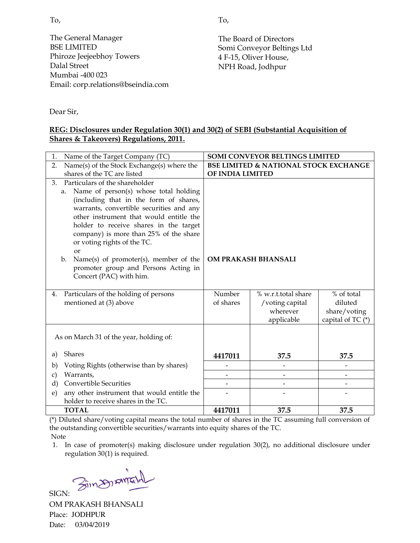To,

The General Manager BSE LIMITED Phiroze Jeejeebhoy Towers Dalal Street Mumbai -400 023 Email: corp.relations@bseindia.com

The Board of Directors Somi Conveyor Beltings Ltd 4 F-15, Oliver House, NPH Road, Jodhpur

Dear Sir,

#### **REG: Disclosures under Regulation 30(1) and 30(2) of SEBI (Substantial Acquisition of Shares & Takeovers) Regulations, 2011.**

| Name of the Target Company (TC)<br>1.                                 |                                                  | SOMI CONVEYOR BELTINGS LIMITED |                   |
|-----------------------------------------------------------------------|--------------------------------------------------|--------------------------------|-------------------|
| Name(s) of the Stock Exchange(s) where the<br>2.                      | <b>BSE LIMITED &amp; NATIONAL STOCK EXCHANGE</b> |                                |                   |
| shares of the TC are listed                                           | OF INDIA LIMITED                                 |                                |                   |
| Particulars of the shareholder<br>3.                                  |                                                  |                                |                   |
| Name of person(s) whose total holding<br>a.                           |                                                  |                                |                   |
| (including that in the form of shares,                                |                                                  |                                |                   |
| warrants, convertible securities and any                              |                                                  |                                |                   |
| other instrument that would entitle the                               |                                                  |                                |                   |
| holder to receive shares in the target                                |                                                  |                                |                   |
| company) is more than 25% of the share<br>or voting rights of the TC. |                                                  |                                |                   |
| $\alpha$ r                                                            |                                                  |                                |                   |
| Name(s) of promoter(s), member of the<br>$\mathbf{b}$ .               | OM PRAKASH BHANSALI                              |                                |                   |
| promoter group and Persons Acting in                                  |                                                  |                                |                   |
| Concert (PAC) with him.                                               |                                                  |                                |                   |
|                                                                       |                                                  |                                |                   |
| Particulars of the holding of persons<br>4.                           | Number                                           | % w.r.t.total share            | % of total        |
| mentioned at (3) above                                                | of shares                                        | /voting capital                | diluted           |
|                                                                       |                                                  | wherever                       | share/voting      |
|                                                                       |                                                  | applicable                     | capital of TC (*) |
|                                                                       |                                                  |                                |                   |
| As on March 31 of the year, holding of:                               |                                                  |                                |                   |
| <b>Shares</b><br>a)                                                   | 4417011                                          | 37.5                           | 37.5              |
|                                                                       |                                                  |                                |                   |
| Voting Rights (otherwise than by shares)<br>b)<br>Warrants,           |                                                  |                                |                   |
| $\mathbf{c})$<br><b>Convertible Securities</b><br>$\rm d$             |                                                  |                                |                   |
| any other instrument that would entitle the<br>e)                     |                                                  |                                |                   |
| holder to receive shares in the TC.                                   |                                                  |                                |                   |
| <b>TOTAL</b>                                                          | 4417011                                          | 37.5                           | 37.5              |

(\*) Diluted share/voting capital means the total number of shares in the TC assuming full conversion of the outstanding convertible securities/warrants into equity shares of the TC. Note

1. In case of promoter(s) making disclosure under regulation 30(2), no additional disclosure under regulation 30(1) is required.

SIGN: Sin An AME

OM PRAKASH BHANSALI Place: JODHPUR Date: 03/04/2019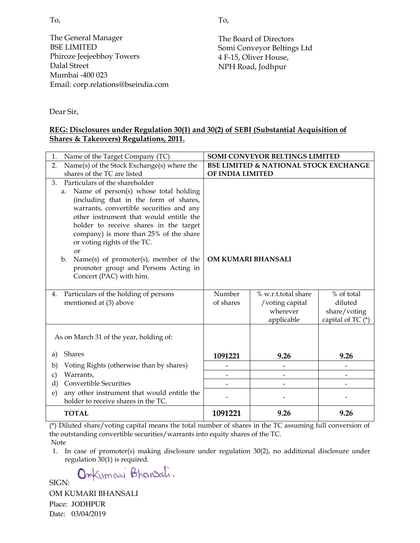To,

The General Manager BSE LIMITED Phiroze Jeejeebhoy Towers Dalal Street Mumbai -400 023 Email: corp.relations@bseindia.com The Board of Directors Somi Conveyor Beltings Ltd 4 F-15, Oliver House, NPH Road, Jodhpur

Dear Sir,

#### **REG: Disclosures under Regulation 30(1) and 30(2) of SEBI (Substantial Acquisition of Shares & Takeovers) Regulations, 2011.**

| Name of the Target Company (TC)<br>1.                                            |                                                  | <b>SOMI CONVEYOR BELTINGS LIMITED</b> |                     |  |
|----------------------------------------------------------------------------------|--------------------------------------------------|---------------------------------------|---------------------|--|
| Name(s) of the Stock Exchange(s) where the<br>2.                                 | <b>BSE LIMITED &amp; NATIONAL STOCK EXCHANGE</b> |                                       |                     |  |
| shares of the TC are listed                                                      |                                                  | OF INDIA LIMITED                      |                     |  |
| Particulars of the shareholder<br>3.                                             |                                                  |                                       |                     |  |
| Name of person(s) whose total holding<br>a.                                      |                                                  |                                       |                     |  |
| (including that in the form of shares,                                           |                                                  |                                       |                     |  |
| warrants, convertible securities and any                                         |                                                  |                                       |                     |  |
| other instrument that would entitle the                                          |                                                  |                                       |                     |  |
| holder to receive shares in the target<br>company) is more than 25% of the share |                                                  |                                       |                     |  |
| or voting rights of the TC.                                                      |                                                  |                                       |                     |  |
| <b>or</b>                                                                        |                                                  |                                       |                     |  |
| Name(s) of promoter(s), member of the<br>$\mathbf{b}$ .                          | OM KUMARI BHANSALI                               |                                       |                     |  |
| promoter group and Persons Acting in                                             |                                                  |                                       |                     |  |
| Concert (PAC) with him.                                                          |                                                  |                                       |                     |  |
|                                                                                  |                                                  |                                       |                     |  |
| Particulars of the holding of persons<br>4.                                      | Number                                           | % w.r.t.total share                   | % of total          |  |
| mentioned at (3) above                                                           | of shares                                        | /voting capital                       | diluted             |  |
|                                                                                  |                                                  | wherever                              | share/voting        |  |
|                                                                                  |                                                  | applicable                            | capital of TC $(*)$ |  |
| As on March 31 of the year, holding of:                                          |                                                  |                                       |                     |  |
|                                                                                  |                                                  |                                       |                     |  |
| Shares<br>a)                                                                     | 1091221                                          | 9.26                                  | 9.26                |  |
| Voting Rights (otherwise than by shares)<br>b)                                   |                                                  | $\overline{a}$                        | $\overline{a}$      |  |
| Warrants,<br>$\mathbf{c})$                                                       |                                                  |                                       |                     |  |
| <b>Convertible Securities</b><br>d)                                              |                                                  |                                       |                     |  |
| any other instrument that would entitle the<br>e)                                |                                                  |                                       |                     |  |
| holder to receive shares in the TC.                                              |                                                  |                                       |                     |  |
| <b>TOTAL</b>                                                                     | 1091221                                          | 9.26                                  | 9.26                |  |

(\*) Diluted share/voting capital means the total number of shares in the TC assuming full conversion of the outstanding convertible securities/warrants into equity shares of the TC. Note

1. In case of promoter(s) making disclosure under regulation 30(2), no additional disclosure under regulation 30(1) is required.

Omkumari Bhansali.

SIGN:

OM KUMARI BHANSALI Place: JODHPUR Date: 03/04/2019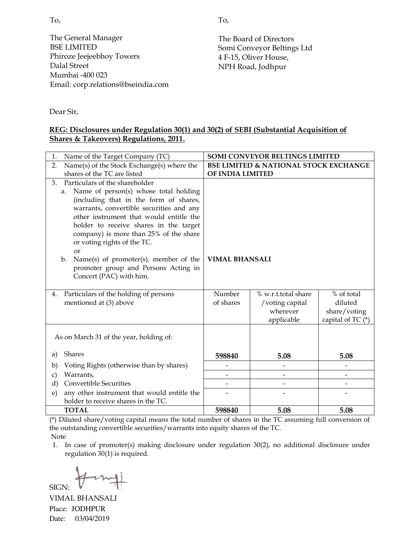To,

The General Manager BSE LIMITED Phiroze Jeejeebhoy Towers Dalal Street Mumbai -400 023 Email: corp.relations@bseindia.com

The Board of Directors Somi Conveyor Beltings Ltd 4 F-15, Oliver House, NPH Road, Jodhpur

Dear Sir,

#### **REG: Disclosures under Regulation 30(1) and 30(2) of SEBI (Substantial Acquisition of Shares & Takeovers) Regulations, 2011.**

| Name of the Target Company (TC)<br>1.                                 |                                                  | SOMI CONVEYOR BELTINGS LIMITED |                   |  |
|-----------------------------------------------------------------------|--------------------------------------------------|--------------------------------|-------------------|--|
| Name(s) of the Stock Exchange(s) where the<br>2.                      | <b>BSE LIMITED &amp; NATIONAL STOCK EXCHANGE</b> |                                |                   |  |
| shares of the TC are listed                                           |                                                  | OF INDIA LIMITED               |                   |  |
| Particulars of the shareholder<br>3.                                  |                                                  |                                |                   |  |
| Name of person(s) whose total holding<br>a.                           |                                                  |                                |                   |  |
| (including that in the form of shares,                                |                                                  |                                |                   |  |
| warrants, convertible securities and any                              |                                                  |                                |                   |  |
| other instrument that would entitle the                               |                                                  |                                |                   |  |
| holder to receive shares in the target                                |                                                  |                                |                   |  |
| company) is more than 25% of the share<br>or voting rights of the TC. |                                                  |                                |                   |  |
| $\alpha$ r                                                            |                                                  |                                |                   |  |
| Name(s) of promoter(s), member of the<br>$\mathbf{b}$ .               | <b>VIMAL BHANSALI</b>                            |                                |                   |  |
| promoter group and Persons Acting in                                  |                                                  |                                |                   |  |
| Concert (PAC) with him.                                               |                                                  |                                |                   |  |
|                                                                       |                                                  |                                |                   |  |
| Particulars of the holding of persons<br>4.                           | Number                                           | % w.r.t.total share            | % of total        |  |
| mentioned at (3) above                                                | of shares                                        | /voting capital                | diluted           |  |
|                                                                       |                                                  | wherever                       | share/voting      |  |
|                                                                       |                                                  | applicable                     | capital of TC (*) |  |
|                                                                       |                                                  |                                |                   |  |
| As on March 31 of the year, holding of:                               |                                                  |                                |                   |  |
| <b>Shares</b><br>a)                                                   | 598840                                           | 5.08                           | 5.08              |  |
| Voting Rights (otherwise than by shares)<br>b)                        |                                                  |                                |                   |  |
| Warrants,<br>$\mathbf{c})$                                            |                                                  |                                |                   |  |
| <b>Convertible Securities</b><br>$\rm d$                              |                                                  |                                |                   |  |
| any other instrument that would entitle the<br>e)                     |                                                  |                                |                   |  |
| holder to receive shares in the TC.                                   |                                                  |                                |                   |  |
| <b>TOTAL</b>                                                          | 598840                                           | 5.08                           | 5.08              |  |

(\*) Diluted share/voting capital means the total number of shares in the TC assuming full conversion of the outstanding convertible securities/warrants into equity shares of the TC. Note

1. In case of promoter(s) making disclosure under regulation 30(2), no additional disclosure under regulation 30(1) is required.

SIGN:

VIMAL BHANSALI Place: JODHPUR Date: 03/04/2019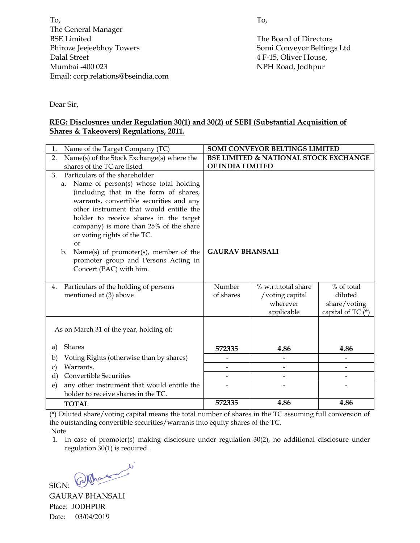To, The General Manager BSE Limited Phiroze Jeejeebhoy Towers Dalal Street Mumbai -400 023 Email: corp.relations@bseindia.com To,

The Board of Directors Somi Conveyor Beltings Ltd 4 F-15, Oliver House, NPH Road, Jodhpur

Dear Sir,

#### **REG: Disclosures under Regulation 30(1) and 30(2) of SEBI (Substantial Acquisition of Shares & Takeovers) Regulations, 2011.**

| Name of the Target Company (TC)<br>1.                                             |                                                  | <b>SOMI CONVEYOR BELTINGS LIMITED</b> |                       |
|-----------------------------------------------------------------------------------|--------------------------------------------------|---------------------------------------|-----------------------|
| Name(s) of the Stock Exchange(s) where the<br>2.                                  | <b>BSE LIMITED &amp; NATIONAL STOCK EXCHANGE</b> |                                       |                       |
| shares of the TC are listed                                                       | OF INDIA LIMITED                                 |                                       |                       |
| Particulars of the shareholder<br>3.                                              |                                                  |                                       |                       |
| Name of person(s) whose total holding<br>a.                                       |                                                  |                                       |                       |
| (including that in the form of shares,                                            |                                                  |                                       |                       |
| warrants, convertible securities and any                                          |                                                  |                                       |                       |
| other instrument that would entitle the<br>holder to receive shares in the target |                                                  |                                       |                       |
| company) is more than 25% of the share                                            |                                                  |                                       |                       |
| or voting rights of the TC.                                                       |                                                  |                                       |                       |
| <b>or</b>                                                                         |                                                  |                                       |                       |
| Name(s) of promoter(s), member of the<br>$\mathbf{b}$ .                           | <b>GAURAV BHANSALI</b>                           |                                       |                       |
| promoter group and Persons Acting in                                              |                                                  |                                       |                       |
| Concert (PAC) with him.                                                           |                                                  |                                       |                       |
|                                                                                   |                                                  |                                       |                       |
| Particulars of the holding of persons<br>4.                                       | Number<br>of shares                              | % w.r.t.total share                   | % of total<br>diluted |
| mentioned at (3) above                                                            |                                                  | /voting capital<br>wherever           | share/voting          |
|                                                                                   |                                                  | applicable                            | capital of TC (*)     |
|                                                                                   |                                                  |                                       |                       |
| As on March 31 of the year, holding of:                                           |                                                  |                                       |                       |
|                                                                                   |                                                  |                                       |                       |
| Shares<br>a)                                                                      | 572335                                           | 4.86                                  | 4.86                  |
| Voting Rights (otherwise than by shares)<br>b)                                    |                                                  |                                       |                       |
| Warrants,<br>c)                                                                   |                                                  | $\qquad \qquad \blacksquare$          |                       |
| <b>Convertible Securities</b><br>$\rm d$                                          |                                                  | $\overline{a}$                        |                       |
| any other instrument that would entitle the<br>e)                                 |                                                  |                                       |                       |
| holder to receive shares in the TC.                                               |                                                  |                                       |                       |
| <b>TOTAL</b>                                                                      | 572335                                           | 4.86                                  | 4.86                  |

(\*) Diluted share/voting capital means the total number of shares in the TC assuming full conversion of the outstanding convertible securities/warrants into equity shares of the TC. Note

1. In case of promoter(s) making disclosure under regulation 30(2), no additional disclosure under regulation 30(1) is required.

SIGN: Whose w

GAURAV BHANSALI Place: JODHPUR Date: 03/04/2019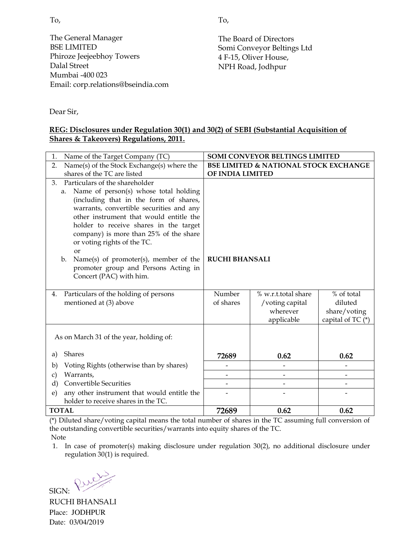To,

The General Manager BSE LIMITED Phiroze Jeejeebhoy Towers Dalal Street Mumbai -400 023 Email: corp.relations@bseindia.com

The Board of Directors Somi Conveyor Beltings Ltd 4 F-15, Oliver House, NPH Road, Jodhpur

Dear Sir,

#### **REG: Disclosures under Regulation 30(1) and 30(2) of SEBI (Substantial Acquisition of Shares & Takeovers) Regulations, 2011.**

| Name of the Target Company (TC)<br>1.                                 |                                                  | <b>SOMI CONVEYOR BELTINGS LIMITED</b> |                   |  |
|-----------------------------------------------------------------------|--------------------------------------------------|---------------------------------------|-------------------|--|
| Name(s) of the Stock Exchange(s) where the<br>2.                      | <b>BSE LIMITED &amp; NATIONAL STOCK EXCHANGE</b> |                                       |                   |  |
| shares of the TC are listed                                           |                                                  | OF INDIA LIMITED                      |                   |  |
| Particulars of the shareholder<br>3.                                  |                                                  |                                       |                   |  |
| Name of person(s) whose total holding<br>a.                           |                                                  |                                       |                   |  |
| (including that in the form of shares,                                |                                                  |                                       |                   |  |
| warrants, convertible securities and any                              |                                                  |                                       |                   |  |
| other instrument that would entitle the                               |                                                  |                                       |                   |  |
| holder to receive shares in the target                                |                                                  |                                       |                   |  |
| company) is more than 25% of the share<br>or voting rights of the TC. |                                                  |                                       |                   |  |
| or                                                                    |                                                  |                                       |                   |  |
| Name(s) of promoter(s), member of the<br>$\mathbf{b}$ .               | <b>RUCHI BHANSALI</b>                            |                                       |                   |  |
| promoter group and Persons Acting in                                  |                                                  |                                       |                   |  |
| Concert (PAC) with him.                                               |                                                  |                                       |                   |  |
|                                                                       |                                                  |                                       |                   |  |
| Particulars of the holding of persons<br>4.                           | Number                                           | % w.r.t.total share                   | % of total        |  |
| mentioned at (3) above                                                | of shares                                        | /voting capital                       | diluted           |  |
|                                                                       |                                                  | wherever                              | share/voting      |  |
|                                                                       |                                                  | applicable                            | capital of TC (*) |  |
|                                                                       |                                                  |                                       |                   |  |
| As on March 31 of the year, holding of:                               |                                                  |                                       |                   |  |
| Shares<br>a)                                                          | 72689                                            | 0.62                                  | 0.62              |  |
| Voting Rights (otherwise than by shares)<br>b)                        |                                                  |                                       |                   |  |
| Warrants,<br>c)                                                       |                                                  | $\overline{\phantom{0}}$              |                   |  |
| <b>Convertible Securities</b><br>d)                                   |                                                  |                                       |                   |  |
| any other instrument that would entitle the<br>e)                     |                                                  |                                       |                   |  |
| holder to receive shares in the TC.                                   |                                                  |                                       |                   |  |
| <b>TOTAL</b>                                                          | 72689                                            | 0.62                                  | 0.62              |  |

(\*) Diluted share/voting capital means the total number of shares in the TC assuming full conversion of the outstanding convertible securities/warrants into equity shares of the TC.

Note

1. In case of promoter(s) making disclosure under regulation 30(2), no additional disclosure under regulation 30(1) is required.

SIGN: Pure

RUCHI BHANSALI Place: JODHPUR Date: 03/04/2019